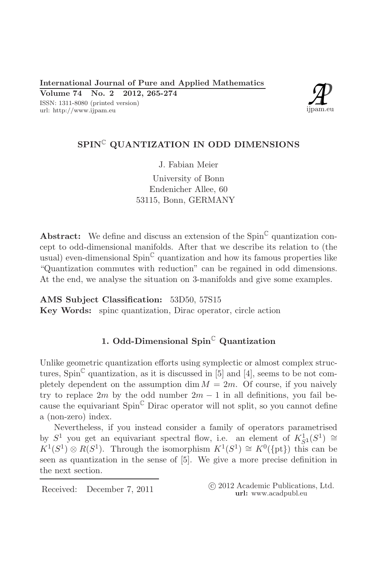

# SPIN<sup>C</sup> QUANTIZATION IN ODD DIMENSIONS

J. Fabian Meier

University of Bonn Endenicher Allee, 60 53115, Bonn, GERMANY

**Abstract:** We define and discuss an extension of the  $Spin^{\mathbb{C}}$  quantization concept to odd-dimensional manifolds. After that we describe its relation to (the usual) even-dimensional  $Spin^{\mathbb{C}}$  quantization and how its famous properties like "Quantization commutes with reduction" can be regained in odd dimensions. At the end, we analyse the situation on 3-manifolds and give some examples.

## AMS Subject Classification: 53D50, 57S15

Key Words: spinc quantization, Dirac operator, circle action

# 1. Odd-Dimensional  $\text{Spin}^{\mathbb{C}}$  Quantization

Unlike geometric quantization efforts using symplectic or almost complex structures, Spin<sup> $\mathbb{C}$ </sup> quantization, as it is discussed in [5] and [4], seems to be not completely dependent on the assumption dim  $M = 2m$ . Of course, if you naively try to replace 2m by the odd number  $2m - 1$  in all definitions, you fail because the equivariant  $Spin^{\mathbb{C}}$  Dirac operator will not split, so you cannot define a (non-zero) index.

Nevertheless, if you instead consider a family of operators parametrised by  $S^1$  you get an equivariant spectral flow, i.e. an element of  $K^1_{S^1}(S^1) \cong$  $K^1(S^1) \otimes R(S^1)$ . Through the isomorphism  $K^1(S^1) \cong K^0(\{\text{pt}\})$  this can be seen as quantization in the sense of [5]. We give a more precise definition in the next section.

Received: December 7, 2011

(c) 2012 Academic Publications, Ltd. url: www.acadpubl.eu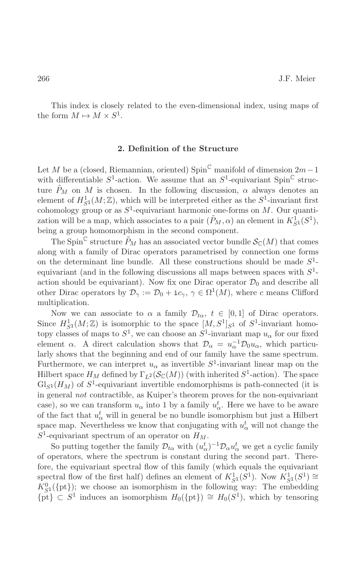This index is closely related to the even-dimensional index, using maps of the form  $M \mapsto M \times S^1$ .

## 2. Definition of the Structure

Let M be a (closed, Riemannian, oriented) Spin<sup>C</sup> manifold of dimension  $2m-1$ with differentiable  $S^1$ -action. We assume that an  $S^1$ -equivariant Spin<sup>C</sup> structure  $P_M$  on M is chosen. In the following discussion,  $\alpha$  always denotes an element of  $H^1_{S^1}(M;\mathbb{Z})$ , which will be interpreted either as the  $S^1$ -invariant first cohomology group or as  $S^1$ -equivariant harmonic one-forms on M. Our quantization will be a map, which associates to a pair  $(\tilde{P}_M, \alpha)$  an element in  $K^1_{\sigma_1}(S^1)$ , being a group homomorphism in the second component.

The Spin<sup>C</sup> structure  $\tilde{P}_M$  has an associated vector bundle  $\mathcal{S}_{\mathbb{C}}(M)$  that comes along with a family of Dirac operators parametrised by connection one forms on the determinant line bundle. All these constructions should be made  $S^1$ equivariant (and in the following discussions all maps between spaces with  $S^1$ action should be equivariant). Now fix one Dirac operator  $\mathcal{D}_0$  and describe all other Dirac operators by  $\mathcal{D}_{\gamma} := \mathcal{D}_0 + i c_{\gamma}, \gamma \in \Omega^1(M)$ , where c means Clifford multiplication.

Now we can associate to  $\alpha$  a family  $\mathcal{D}_{t\alpha}, t \in [0,1]$  of Dirac operators. Since  $H^1_{S^1}(M;\mathbb{Z})$  is isomorphic to the space  $[M, S^1]_{S^1}$  of  $S^1$ -invariant homotopy classes of maps to  $S^1$ , we can choose an  $S^1$ -invariant map  $u_\alpha$  for our fixed element  $\alpha$ . A direct calculation shows that  $\mathcal{D}_{\alpha} = u_{\alpha}^{-1} \mathcal{D}_0 u_{\alpha}$ , which particularly shows that the beginning and end of our family have the same spectrum. Furthermore, we can interpret  $u_{\alpha}$  as invertible  $S^1$ -invariant linear map on the Hilbert space  $H_M$  defined by  $\Gamma_{L^2}(\mathcal{S}_{\mathbb{C}}(M))$  (with inherited  $S^1$ -action). The space  $\mathrm{Gl}_{S^1}(H_M)$  of  $S^1$ -equivariant invertible endomorphisms is path-connected (it is in general not contractible, as Kuiper's theorem proves for the non-equivariant case), so we can transform  $u_{\alpha}$  into 1 by a family  $u_{\alpha}^{t}$ . Here we have to be aware of the fact that  $u^t_\alpha$  will in general be no bundle isomorphism but just a Hilbert space map. Nevertheless we know that conjugating with  $u^t_{\alpha}$  will not change the  $S^1$ -equivariant spectrum of an operator on  $H_M$ .

So putting together the family  $\mathcal{D}_{t\alpha}$  with  $(u^t_{\alpha})^{-1}\mathcal{D}_{\alpha}u^t_{\alpha}$  we get a cyclic family of operators, where the spectrum is constant during the second part. Therefore, the equivariant spectral flow of this family (which equals the equivariant spectral flow of the first half) defines an element of  $K_{S_1}^1(S^1)$ . Now  $K_{S_1}^1(S^1) \cong$  $K_{S^1}^0(\{\text{pt}\})$ ; we choose an isomorphism in the following way: The embedding  $\{\tilde{\text{pt}}\}\subset S^1$  induces an isomorphism  $H_0(\{\text{pt}\})\cong H_0(S^1)$ , which by tensoring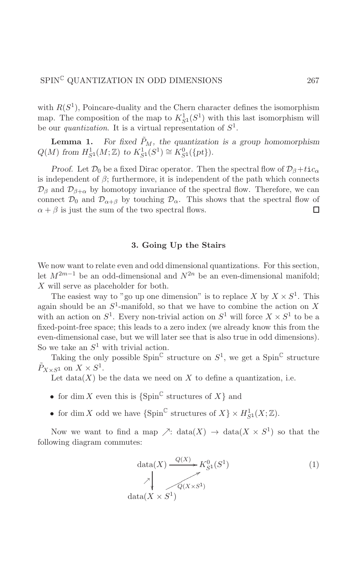with  $R(S^1)$ , Poincare-duality and the Chern character defines the isomorphism map. The composition of the map to  $K^1_{S^1}(S^1)$  with this last isomorphism will be our *quantization*. It is a virtual representation of  $S^1$ .

**Lemma 1.** For fixed  $\tilde{P}_M$ , the quantization is a group homomorphism  $Q(M)$  from  $H^1_{S^1}(M; \mathbb{Z})$  to  $K^1_{S^1}(S^1) \cong K^0_{S^1}(\{pt\}).$ 

*Proof.* Let  $\mathcal{D}_0$  be a fixed Dirac operator. Then the spectral flow of  $\mathcal{D}_{\beta}+tic_{\alpha}$ is independent of  $\beta$ ; furthermore, it is independent of the path which connects  $\mathcal{D}_{\beta}$  and  $\mathcal{D}_{\beta+\alpha}$  by homotopy invariance of the spectral flow. Therefore, we can connect  $\mathcal{D}_0$  and  $\mathcal{D}_{\alpha+\beta}$  by touching  $\mathcal{D}_{\alpha}$ . This shows that the spectral flow of  $\alpha + \beta$  is just the sum of the two spectral flows.  $\Box$ 

## 3. Going Up the Stairs

We now want to relate even and odd dimensional quantizations. For this section, let  $M^{2m-1}$  be an odd-dimensional and  $N^{2n}$  be an even-dimensional manifold;  $X$  will serve as placeholder for both.

The easiest way to "go up one dimension" is to replace X by  $X \times S^1$ . This again should be an  $S^1$ -manifold, so that we have to combine the action on X with an action on  $S^1$ . Every non-trivial action on  $S^1$  will force  $X \times S^1$  to be a fixed-point-free space; this leads to a zero index (we already know this from the even-dimensional case, but we will later see that is also true in odd dimensions). So we take an  $S^1$  with trivial action.

Taking the only possible Spin<sup>C</sup> structure on  $S^1$ , we get a Spin<sup>C</sup> structure  $\tilde{P}_{X\times S^1}$  on  $X\times S^1$ .

Let  $data(X)$  be the data we need on X to define a quantization, i.e.

- for dim X even this is  $\{\text{Spin}^{\mathbb{C}} \text{ structures of } X\}$  and
- for dim X odd we have  ${\rm \{Spin}^{\mathbb{C}}$  structures of  $X\} \times H^1_{S^1}(X;\mathbb{Z})$ .

Now we want to find a map  $\nearrow$ : data $(X) \rightarrow data(X \times S^1)$  so that the following diagram commutes:

$$
\det(A) \xrightarrow{Q(X)} K_{S^1}^0(S^1)
$$
\n
$$
\downarrow \qquad \qquad \nearrow
$$
\n
$$
\underbrace{\downarrow}_{\text{data}(X \times S^1)} \qquad (1)
$$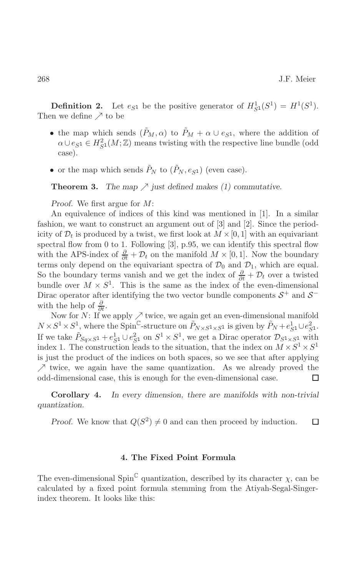**Definition 2.** Let  $e_{S^1}$  be the positive generator of  $H^1_{S^1}(S^1) = H^1(S^1)$ . Then we define  $\nearrow$  to be

- the map which sends  $(\tilde{P}_M, \alpha)$  to  $\tilde{P}_M + \alpha \cup e_{S^1}$ , where the addition of  $\alpha \cup e_{S^1} \in H^2_{S^1}(M;\mathbb{Z})$  means twisting with the respective line bundle (odd case).
- or the map which sends  $\tilde{P}_N$  to  $(\tilde{P}_N, e_{S^1})$  (even case).

Theorem 3. The map  $\nearrow$  just defined makes (1) commutative.

*Proof.* We first argue for  $M$ :

An equivalence of indices of this kind was mentioned in [1]. In a similar fashion, we want to construct an argument out of  $[3]$  and  $[2]$ . Since the periodicity of  $\mathcal{D}_t$  is produced by a twist, we first look at  $M \times [0,1]$  with an equivariant spectral flow from 0 to 1. Following  $[3]$ , p.95, we can identify this spectral flow with the APS-index of  $\frac{\partial}{\partial t} + \mathcal{D}_t$  on the manifold  $M \times [0,1]$ . Now the boundary terms only depend on the equivariant spectra of  $\mathcal{D}_0$  and  $\mathcal{D}_1$ , which are equal. So the boundary terms vanish and we get the index of  $\frac{\partial}{\partial t} + \mathcal{D}_t$  over a twisted bundle over  $M \times S^1$ . This is the same as the index of the even-dimensional Dirac operator after identifying the two vector bundle components  $S^+$  and  $S^$ with the help of  $\frac{\partial}{\partial t}$ .

Now for N: If we apply  $\nearrow$  twice, we again get an even-dimensional manifold  $N \times S^1 \times S^1$ , where the Spin<sup>C</sup>-structure on  $\tilde{P}_{N \times S^1 \times S^1}$  is given by  $\tilde{P}_N + e_{S^1}^1 \cup e_{S^1}^2$ .<br>If we take  $\tilde{P}_{Sq \times S^1} + e_{S^1}^1 \cup e_{S^1}^2$  on  $S^1 \times S^1$ , we get a Dirac operator  $\mathcal{D}_{S^1 \times S^1}$  with index 1. The construction leads to the situation, that the index on  $M \times S^1 \times S^1$ is just the product of the indices on both spaces, so we see that after applying  $\nearrow$  twice, we again have the same quantization. As we already proved the odd-dimensional case, this is enough for the even-dimensional case.  $\Box$ 

In every dimension, there are manifolds with non-trivial Corollary 4. quantization.

*Proof.* We know that  $Q(S^2) \neq 0$  and can then proceed by induction.  $\Box$ 

## 4. The Fixed Point Formula

The even-dimensional Spin<sup> $\mathbb C$ </sup> quantization, described by its character  $\chi$ , can be calculated by a fixed point formula stemming from the Atiyah-Segal-Singerindex theorem. It looks like this: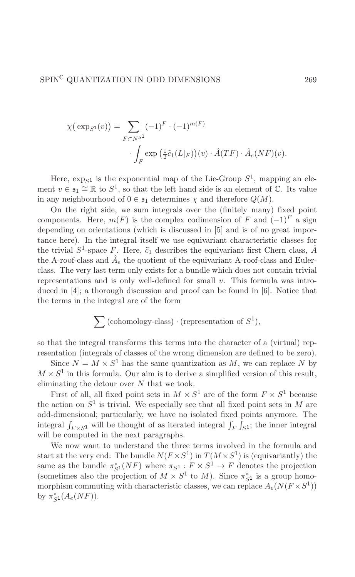$$
\chi(\exp_{S^1}(v)) = \sum_{F \subset N^{S^1}} (-1)^F \cdot (-1)^{m(F)}
$$

$$
\cdot \int_F \exp\left(\frac{1}{2}\tilde{c}_1(L|_F)\right)(v) \cdot \hat{A}(TF) \cdot \hat{A}_e(NF)(v).
$$

Here,  $\exp_{S^1}$  is the exponential map of the Lie-Group  $S^1$ , mapping an element  $v \in \mathfrak{s}_1 \cong \mathbb{R}$  to  $S^1$ , so that the left hand side is an element of  $\mathbb{C}$ . Its value in any neighbourhood of  $0 \in \mathfrak{s}_1$  determines  $\chi$  and therefore  $Q(M)$ .

On the right side, we sum integrals over the (finitely many) fixed point components. Here,  $m(F)$  is the complex codimension of F and  $(-1)^F$  a sign depending on orientations (which is discussed in [5] and is of no great importance here). In the integral itself we use equivariant characteristic classes for the trivial  $S^1$ -space F. Here,  $\tilde{c}_1$  describes the equivariant first Chern class, A the A-roof-class and  $A_e$  the quotient of the equivariant A-roof-class and Eulerclass. The very last term only exists for a bundle which does not contain trivial representations and is only well-defined for small  $v$ . This formula was introduced in  $[4]$ ; a thorough discussion and proof can be found in  $[6]$ . Notice that the terms in the integral are of the form

$$
\sum (\text{cohomology-class}) \cdot (\text{representation of } S^1),
$$

so that the integral transforms this terms into the character of a (virtual) representation (integrals of classes of the wrong dimension are defined to be zero).

Since  $N = M \times S^1$  has the same quantization as M, we can replace N by  $M \times S^1$  in this formula. Our aim is to derive a simplified version of this result, eliminating the detour over  $N$  that we took.

First of all, all fixed point sets in  $M \times S^1$  are of the form  $F \times S^1$  because the action on  $S^1$  is trivial. We especially see that all fixed point sets in M are odd-dimensional; particularly, we have no isolated fixed points anymore. The integral  $\int_{F\times S^1}$  will be thought of as iterated integral  $\int_F \int_{S^1}$ ; the inner integral will be computed in the next paragraphs.

We now want to understand the three terms involved in the formula and start at the very end: The bundle  $N(F \times S^1)$  in  $T(M \times S^1)$  is (equivariantly) the same as the bundle  $\pi_{S^1}^*(NF)$  where  $\pi_{S^1}: F \times S^1 \to F$  denotes the projection (sometimes also the projection of  $M \times S^1$  to M). Since  $\pi_{S^1}^*$  is a group homomorphism commuting with characteristic classes, we can replace  $A_e(N(F \times S^1))$ by  $\pi_{S1}^*(A_e(NF)).$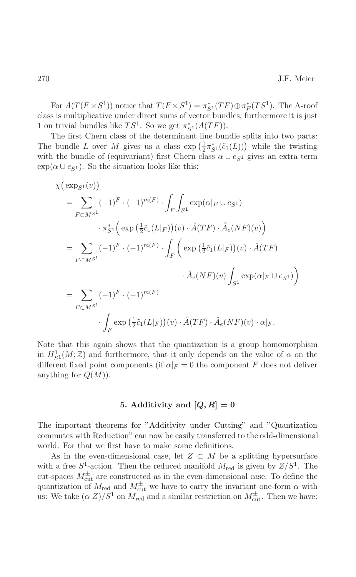For  $A(T(F \times S^1))$  notice that  $T(F \times S^1) = \pi_{S^1}^*(TF) \oplus \pi_F^*(TS^1)$ . The A-roof class is multiplicative under direct sums of vector bundles; furthermore it is just 1 on trivial bundles like  $TS^1$ . So we get  $\pi_{S^1}^*(A(TF))$ .

The first Chern class of the determinant line bundle splits into two parts: The bundle L over M gives us a class  $\exp\left(\frac{1}{2}\pi_{\mathcal{S}_1}^*(\tilde{c}_1(L))\right)$  while the twisting with the bundle of (equivariant) first Chern class  $\alpha \cup e_{S^1}$  gives an extra term  $\exp(\alpha \cup e_{S1})$ . So the situation looks like this:

$$
\chi(\exp_{S^1}(v))
$$
\n
$$
= \sum_{F \subset M^{S^1}} (-1)^F \cdot (-1)^{m(F)} \cdot \int_F \int_{S^1} \exp(\alpha|_F \cup e_{S^1})
$$
\n
$$
\cdot \pi_{S^1}^* \Big( \exp\left(\frac{1}{2}\tilde{c}_1(L|_F)\right)(v) \cdot \hat{A}(TF) \cdot \hat{A}_e(NF)(v) \Big)
$$
\n
$$
= \sum_{F \subset M^{S^1}} (-1)^F \cdot (-1)^{m(F)} \cdot \int_F \Big( \exp\left(\frac{1}{2}\tilde{c}_1(L|_F)\right)(v) \cdot \hat{A}(TF)
$$
\n
$$
\cdot \hat{A}_e(NF)(v) \int_{S^1} \exp(\alpha|_F \cup e_{S^1}) \Big)
$$
\n
$$
= \sum_{F \subset M^{S^1}} (-1)^F \cdot (-1)^{m(F)}
$$
\n
$$
\cdot \int_F \exp\left(\frac{1}{2}\tilde{c}_1(L|_F)\right)(v) \cdot \hat{A}(TF) \cdot \hat{A}_e(NF)(v) \cdot \alpha|_F.
$$

Note that this again shows that the quantization is a group homomorphism in  $H_{S^1}^1(M; \mathbb{Z})$  and furthermore, that it only depends on the value of  $\alpha$  on the different fixed point components (if  $\alpha|_F = 0$  the component F does not deliver anything for  $Q(M)$ .

## 5. Additivity and  $[Q, R] = 0$

The important theorems for "Additivity under Cutting" and "Quantization" commutes with Reduction" can now be easily transferred to the odd-dimensional world. For that we first have to make some definitions.

As in the even-dimensional case, let  $Z \subset M$  be a splitting hypersurface with a free  $S^1$ -action. Then the reduced manifold  $M_{\text{red}}$  is given by  $Z/S^1$ . The cut-spaces  $M_{\text{cut}}^{\pm}$  are constructed as in the even-dimensional case. To define the quantization of  $M_{\text{red}}$  and  $M_{\text{cut}}^{\pm}$  we have to carry the invariant one-form  $\alpha$  with us: We take  $(\alpha|Z)/S^1$  on  $M_{\text{red}}$  and a similar restriction on  $M_{\text{cut}}^{\pm}$ . Then we have: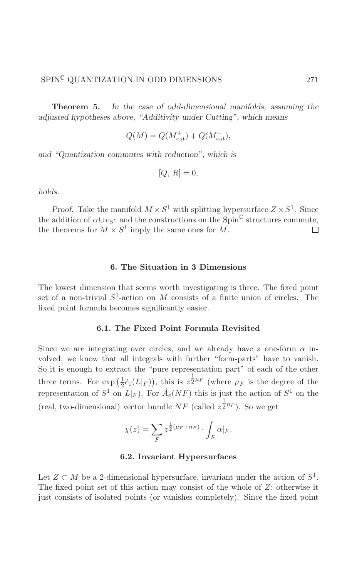Theorem 5. In the case of odd-dimensional manifolds, assuming the adjusted hypotheses above, "Additivity under Cutting", which means

$$
Q(M) = Q(M_{cut}^+) + Q(M_{cut}^-),
$$

and "Quantization commutes with reduction", which is

$$
[Q,\,R]=0
$$

holds.

*Proof.* Take the manifold  $M \times S^1$  with splitting hypersurface  $Z \times S^1$ . Since the addition of  $\alpha \cup e_{S^1}$  and the constructions on the Spin<sup>C</sup> structures commute, the theorems for  $M \times S^1$  imply the same ones for M.  $\Box$ 

#### 6. The Situation in 3 Dimensions

The lowest dimension that seems worth investigating is three. The fixed point set of a non-trivial  $S^1$ -action on M consists of a finite union of circles. The fixed point formula becomes significantly easier.

## 6.1. The Fixed Point Formula Revisited

Since we are integrating over circles, and we already have a one-form  $\alpha$  involved, we know that all integrals with further "form-parts" have to vanish. So it is enough to extract the "pure representation part" of each of the other three terms. For  $\exp\left(\frac{1}{2}\tilde{c}_1(L|_F)\right)$ , this is  $z^{\frac{1}{2}\mu_F}$  (where  $\mu_F$  is the degree of the representation of  $S^1$  on  $L|_F$ ). For  $\hat{A}_e(NF)$  this is just the action of  $S^1$  on the (real, two-dimensional) vector bundle NF (called  $z^{\frac{1}{2}n_F}$ ). So we get

$$
\chi(z) = \sum_{F} z^{\frac{1}{2}(\mu_F + n_F)} \cdot \int_{F} \alpha|_F.
$$

## 6.2. Invariant Hypersurfaces

Let  $Z \subset M$  be a 2-dimensional hypersurface, invariant under the action of  $S^1$ . The fixed point set of this action may consist of the whole of  $Z$ ; otherwise it just consists of isolated points (or vanishes completely). Since the fixed point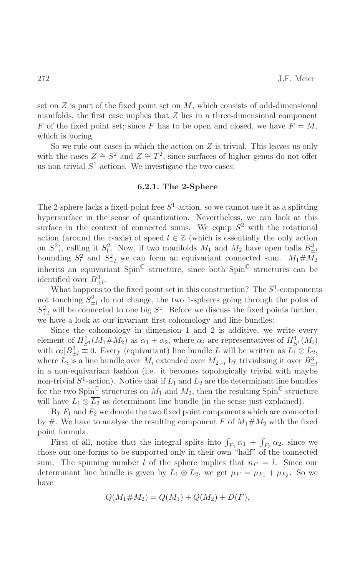set on  $Z$  is part of the fixed point set on  $M$ , which consists of odd-dimensional manifolds, the first case implies that  $Z$  lies in a three-dimensional component F of the fixed point set; since F has to be open and closed, we have  $F = M$ , which is boring.

So we rule out cases in which the action on  $Z$  is trivial. This leaves us only with the cases  $Z \cong S^2$  and  $Z \cong T^2$ , since surfaces of higher genus do not offer us non-trivial  $S^1$ -actions. We investigate the two cases:

## 6.2.1. The 2-Sphere

The 2-sphere lacks a fixed-point free  $S^1$ -action, so we cannot use it as a splitting hypersurface in the sense of quantization. Nevertheless, we can look at this surface in the context of connected sums. We equip  $S^2$  with the rotational action (around the z-axis) of speed  $l \in \mathbb{Z}$  (which is essentially the only action on  $S^2$ ), calling it  $S_l^2$ . Now, if two manifolds  $M_1$  and  $M_2$  have open balls  $B_{\pm l}^3$  bounding  $S_l^2$  and  $S_{-l}^2$  we can form an equivariant connected sum.  $M_1 \# M_2$ inherits an equivariant  $Spin^{\mathbb{C}}$  structure, since both  $Spin^{\mathbb{C}}$  structures can be identified over  $B_{+l}^3$ .

What happens to the fixed point set in this construction? The  $S^1$ -components not touching  $S_{\pm l}^2$  do not change, the two 1-spheres going through the poles of  $S_{+l}^2$  will be connected to one big  $S^1$ . Before we discuss the fixed points further, we have a look at our invariant first cohomology and line bundles:

Since the cohomology in dimension 1 and 2 is additive, we write every element of  $H_{S^1}^1(M_1 \# M_2)$  as  $\alpha_1 + \alpha_2$ , where  $\alpha_i$  are representatives of  $H_{S^1}^1(M_i)$ with  $\alpha_i|B_{\pm l}^3 \equiv 0$ . Every (equivariant) line bundle L will be written as  $L_1 \otimes L_2$ , where  $L_i$  is a line bundle over  $M_i$  extended over  $M_{2-i}$  by trivialising it over  $B_{+i}^3$ in a non-equivariant fashion (i.e. it becomes topologically trivial with maybe non-trivial  $S^1$ -action). Notice that if  $L_1$  and  $L_2$  are the determinant line bundles for the two Spin<sup>C</sup> structures on  $M_1$  and  $M_2$ , then the resulting Spin<sup>C</sup> structure will have  $L_1 \otimes \overline{L_2}$  as determinant line bundle (in the sense just explained).

By  $F_1$  and  $F_2$  we denote the two fixed point components which are connected by #. We have to analyse the resulting component F of  $M_1 \# M_2$  with the fixed point formula.

First of all, notice that the integral splits into  $\int_{F_1} \alpha_1 + \int_{F_2} \alpha_2$ , since we chose our one-forms to be supported only in their own "half" of the connected sum. The spinning number l of the sphere implies that  $n_F = l$ . Since our determinant line bundle is given by  $L_1 \otimes L_2$ , we get  $\mu_F = \mu_{F_1} + \mu_{F_2}$ . So we have

$$
Q(M_1 \# M_2) = Q(M_1) + Q(M_2) + D(F),
$$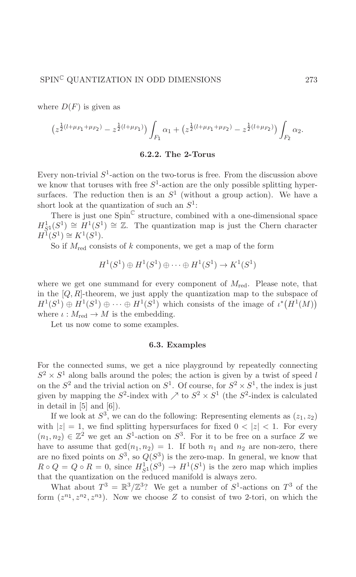where  $D(F)$  is given as

$$
\left(z^{\frac{1}{2}(l+\mu_{F_1}+\mu_{F_2})}-z^{\frac{1}{2}(l+\mu_{F_1})}\right)\int_{F_1}\alpha_1+\left(z^{\frac{1}{2}(l+\mu_{F_1}+\mu_{F_2})}-z^{\frac{1}{2}(l+\mu_{F_2})}\right)\int_{F_2}\alpha_2.
$$

## 6.2.2. The 2-Torus

Every non-trivial  $S^1$ -action on the two-torus is free. From the discussion above we know that toruses with free  $S^1$ -action are the only possible splitting hypersurfaces. The reduction then is an  $S^1$  (without a group action). We have a short look at the quantization of such an  $S^1$ :

There is just one  $Spin^{\mathbb{C}}$  structure, combined with a one-dimensional space  $H^1_{S_1}(S^1) \cong H^1(S^1) \cong \mathbb{Z}$ . The quantization map is just the Chern character  $H^{\mathbb{I}}(S^1) \cong K^1(S^1).$ 

So if  $M_{\text{red}}$  consists of k components, we get a map of the form

$$
H^1(S^1) \oplus H^1(S^1) \oplus \cdots \oplus H^1(S^1) \to K^1(S^1)
$$

where we get one summand for every component of  $M_{\text{red}}$ . Please note, that in the  $[Q, R]$ -theorem, we just apply the quantization map to the subspace of  $H^1(S^1) \oplus H^1(S^1) \oplus \cdots \oplus H^1(S^1)$  which consists of the image of  $\iota^*(H^1(M))$ where  $\iota: M_{\text{red}} \to M$  is the embedding.

Let us now come to some examples.

#### 6.3. Examples

For the connected sums, we get a nice playground by repeatedly connecting  $S^2 \times S^1$  along balls around the poles; the action is given by a twist of speed l on the  $S^2$  and the trivial action on  $S^1$ . Of course, for  $S^2 \times S^1$ , the index is just given by mapping the  $S^2$ -index with  $\nearrow$  to  $S^2 \times S^1$  (the  $S^2$ -index is calculated in detail in  $[5]$  and  $[6]$ ).

If we look at  $S^3$ , we can do the following: Representing elements as  $(z_1, z_2)$ with  $|z|=1$ , we find splitting hypersurfaces for fixed  $0 < |z| < 1$ . For every  $(n_1, n_2) \in \mathbb{Z}^2$  we get an  $S^1$ -action on  $S^3$ . For it to be free on a surface Z we have to assume that  $gcd(n_1, n_2) = 1$ . If both  $n_1$  and  $n_2$  are non-zero, there are no fixed points on  $S^3$ , so  $Q(S^3)$  is the zero-map. In general, we know that  $R \circ Q = Q \circ R = 0$ , since  $H_{S^1}^1(S^3) \to H^1(S^1)$  is the zero map which implies that the quantization on the reduced manifold is always zero.

What about  $T^3 = \mathbb{R}^3/\mathbb{Z}^3$ ? We get a number of  $S^1$ -actions on  $T^3$  of the form  $(z^{n_1}, z^{n_2}, z^{n_3})$ . Now we choose Z to consist of two 2-tori, on which the